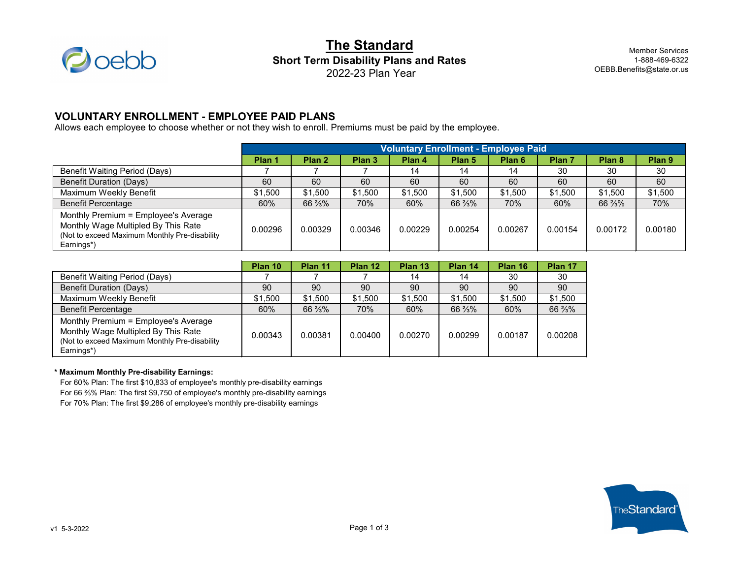

# **The Standard Short Term Disability Plans and Rates** 2022-23 Plan Year

Member Services 1-888-469-6322 OEBB.Benefits@state.or.us

### **VOLUNTARY ENROLLMENT - EMPLOYEE PAID PLANS**

Allows each employee to choose whether or not they wish to enroll. Premiums must be paid by the employee.

|                                                                                                                                            | <b>Voluntary Enrollment - Employee Paid</b> |                   |                   |         |         |         |         |         |         |
|--------------------------------------------------------------------------------------------------------------------------------------------|---------------------------------------------|-------------------|-------------------|---------|---------|---------|---------|---------|---------|
|                                                                                                                                            | Plan '                                      | Plan <sub>2</sub> | Plan <sub>3</sub> | Plan 4  | Plan 5  | Plan 6  | Plan 7  | Plan 8  | Plan 9  |
| <b>Benefit Waiting Period (Days)</b>                                                                                                       |                                             |                   |                   | 14      | 14      | 14      | 30      | 30      | 30      |
| <b>Benefit Duration (Days)</b>                                                                                                             | 60                                          | 60                | 60                | 60      | 60      | 60      | 60      | 60      | 60      |
| Maximum Weekly Benefit                                                                                                                     | \$1,500                                     | \$1,500           | \$1,500           | \$1,500 | \$1,500 | \$1,500 | \$1,500 | \$1,500 | \$1,500 |
| <b>Benefit Percentage</b>                                                                                                                  | 60%                                         | 66 %%             | 70%               | 60%     | 66 %%   | 70%     | 60%     | 66 %%   | 70%     |
| Monthly Premium = Employee's Average<br>Monthly Wage Multipled By This Rate<br>(Not to exceed Maximum Monthly Pre-disability<br>Earnings*) | 0.00296                                     | 0.00329           | 0.00346           | 0.00229 | 0.00254 | 0.00267 | 0.00154 | 0.00172 | 0.00180 |

|                                                                                                                                            | Plan 10 | Plan 11 | Plan 12 | Plan 13 | Plan 14 | Plan 16 | Plan 17 |
|--------------------------------------------------------------------------------------------------------------------------------------------|---------|---------|---------|---------|---------|---------|---------|
| <b>Benefit Waiting Period (Days)</b>                                                                                                       |         |         |         | 14      | 14      | 30      | 30      |
| <b>Benefit Duration (Days)</b>                                                                                                             | 90      | 90      | 90      | -90     | 90      | 90      | 90      |
| Maximum Weekly Benefit                                                                                                                     | \$1,500 | \$1,500 | \$1,500 | \$1,500 | \$1,500 | \$1,500 | \$1,500 |
| <b>Benefit Percentage</b>                                                                                                                  | 60%     | 66 %%   | 70%     | 60%     | 66 %%   | 60%     | 66 %%   |
| Monthly Premium = Employee's Average<br>Monthly Wage Multipled By This Rate<br>(Not to exceed Maximum Monthly Pre-disability<br>Earnings*) | 0.00343 | 0.00381 | 0.00400 | 0.00270 | 0.00299 | 0.00187 | 0.00208 |

#### **\* Maximum Monthly Pre-disability Earnings:**

For 60% Plan: The first \$10,833 of employee's monthly pre-disability earnings For 66 ⅔% Plan: The first \$9,750 of employee's monthly pre-disability earnings For 70% Plan: The first \$9,286 of employee's monthly pre-disability earnings

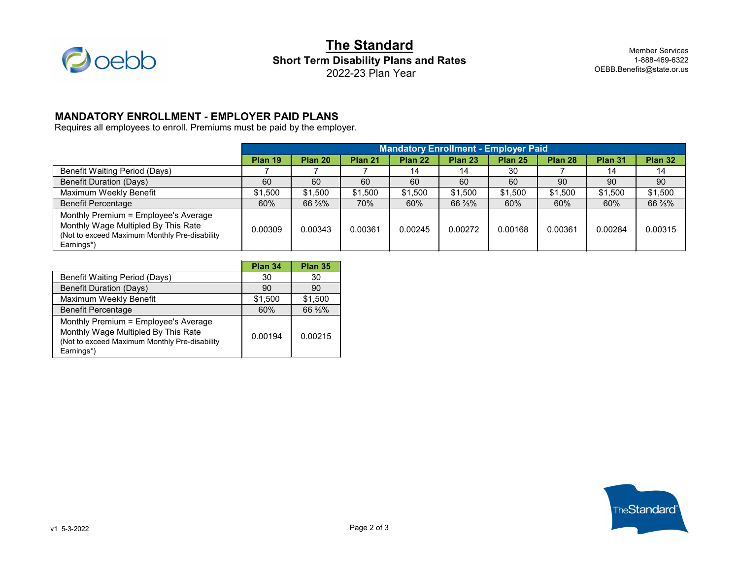

**The Standard Short Term Disability Plans and Rates** 2022-23 Plan Year

Member Services 1-888-469-6322 OEBB.Benefits@state.or.us

## **MANDATORY ENROLLMENT - EMPLOYER PAID PLANS**

Requires all employees to enroll. Premiums must be paid by the employer.

|                                                                                                                                            | <b>Mandatory Enrollment - Employer Paid</b> |         |         |         |         |         |         |         |         |
|--------------------------------------------------------------------------------------------------------------------------------------------|---------------------------------------------|---------|---------|---------|---------|---------|---------|---------|---------|
|                                                                                                                                            | Plan 19                                     | Plan 20 | Plan 21 | Plan 22 | Plan 23 | Plan 25 | Plan 28 | Plan 31 | Plan 32 |
| <b>Benefit Waiting Period (Days)</b>                                                                                                       |                                             |         |         | 14      | 14      | 30      |         | 14      | 14      |
| <b>Benefit Duration (Days)</b>                                                                                                             | 60                                          | 60      | 60      | 60      | 60      | 60      | 90      | 90      | 90      |
| Maximum Weekly Benefit                                                                                                                     | \$1,500                                     | \$1,500 | \$1,500 | \$1,500 | \$1,500 | \$1,500 | \$1,500 | \$1,500 | \$1,500 |
| <b>Benefit Percentage</b>                                                                                                                  | 60%                                         | 66 %%   | 70%     | 60%     | 66 %%   | 60%     | 60%     | 60%     | 66 %%   |
| Monthly Premium = Employee's Average<br>Monthly Wage Multipled By This Rate<br>(Not to exceed Maximum Monthly Pre-disability<br>Earnings*) | 0.00309                                     | 0.00343 | 0.00361 | 0.00245 | 0.00272 | 0.00168 | 0.00361 | 0.00284 | 0.00315 |

|                                                                                                                                            | Plan 34 | Plan 35 |
|--------------------------------------------------------------------------------------------------------------------------------------------|---------|---------|
| <b>Benefit Waiting Period (Days)</b>                                                                                                       | 30      | 30      |
| <b>Benefit Duration (Days)</b>                                                                                                             | 90      | 90      |
| Maximum Weekly Benefit                                                                                                                     | \$1,500 | \$1,500 |
| <b>Benefit Percentage</b>                                                                                                                  | 60%     | 66 3/3% |
| Monthly Premium = Employee's Average<br>Monthly Wage Multipled By This Rate<br>(Not to exceed Maximum Monthly Pre-disability<br>Earnings*) | 0.00194 | 0.00215 |